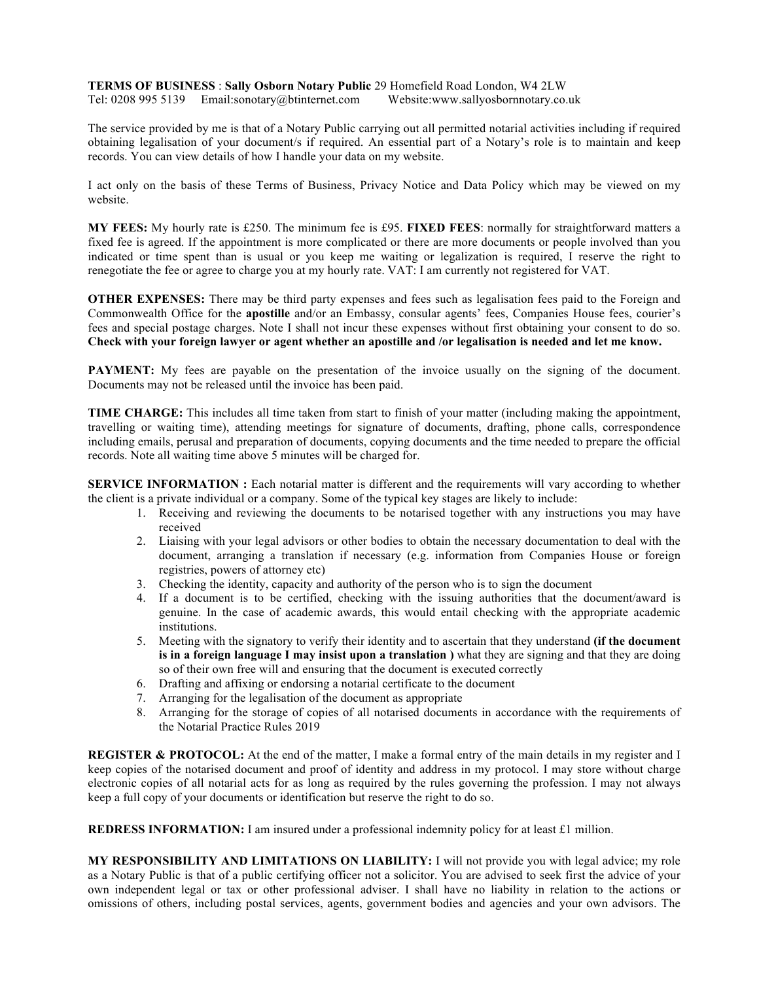**TERMS OF BUSINESS** : **Sally Osborn Notary Public** 29 Homefield Road London, W4 2LW Tel: 0208 995 5139 Email:sonotary@btinternet.com Website:www.sallyosbornnotary.co.uk

The service provided by me is that of a Notary Public carrying out all permitted notarial activities including if required obtaining legalisation of your document/s if required. An essential part of a Notary's role is to maintain and keep records. You can view details of how I handle your data on my website.

I act only on the basis of these Terms of Business, Privacy Notice and Data Policy which may be viewed on my website.

**MY FEES:** My hourly rate is £250. The minimum fee is £95. **FIXED FEES**: normally for straightforward matters a fixed fee is agreed. If the appointment is more complicated or there are more documents or people involved than you indicated or time spent than is usual or you keep me waiting or legalization is required, I reserve the right to renegotiate the fee or agree to charge you at my hourly rate. VAT: I am currently not registered for VAT.

**OTHER EXPENSES:** There may be third party expenses and fees such as legalisation fees paid to the Foreign and Commonwealth Office for the **apostille** and/or an Embassy, consular agents' fees, Companies House fees, courier's fees and special postage charges. Note I shall not incur these expenses without first obtaining your consent to do so. **Check with your foreign lawyer or agent whether an apostille and /or legalisation is needed and let me know.**

**PAYMENT:** My fees are payable on the presentation of the invoice usually on the signing of the document. Documents may not be released until the invoice has been paid.

**TIME CHARGE:** This includes all time taken from start to finish of your matter (including making the appointment, travelling or waiting time), attending meetings for signature of documents, drafting, phone calls, correspondence including emails, perusal and preparation of documents, copying documents and the time needed to prepare the official records. Note all waiting time above 5 minutes will be charged for.

**SERVICE INFORMATION :** Each notarial matter is different and the requirements will vary according to whether the client is a private individual or a company. Some of the typical key stages are likely to include:

- 1. Receiving and reviewing the documents to be notarised together with any instructions you may have received
- 2. Liaising with your legal advisors or other bodies to obtain the necessary documentation to deal with the document, arranging a translation if necessary (e.g. information from Companies House or foreign registries, powers of attorney etc)
- 3. Checking the identity, capacity and authority of the person who is to sign the document
- 4. If a document is to be certified, checking with the issuing authorities that the document/award is genuine. In the case of academic awards, this would entail checking with the appropriate academic institutions.
- 5. Meeting with the signatory to verify their identity and to ascertain that they understand **(if the document is in a foreign language I may insist upon a translation )** what they are signing and that they are doing so of their own free will and ensuring that the document is executed correctly
- 6. Drafting and affixing or endorsing a notarial certificate to the document
- 7. Arranging for the legalisation of the document as appropriate
- 8. Arranging for the storage of copies of all notarised documents in accordance with the requirements of the Notarial Practice Rules 2019

**REGISTER & PROTOCOL:** At the end of the matter, I make a formal entry of the main details in my register and I keep copies of the notarised document and proof of identity and address in my protocol. I may store without charge electronic copies of all notarial acts for as long as required by the rules governing the profession. I may not always keep a full copy of your documents or identification but reserve the right to do so.

**REDRESS INFORMATION:** I am insured under a professional indemnity policy for at least £1 million.

**MY RESPONSIBILITY AND LIMITATIONS ON LIABILITY:** I will not provide you with legal advice; my role as a Notary Public is that of a public certifying officer not a solicitor. You are advised to seek first the advice of your own independent legal or tax or other professional adviser. I shall have no liability in relation to the actions or omissions of others, including postal services, agents, government bodies and agencies and your own advisors. The